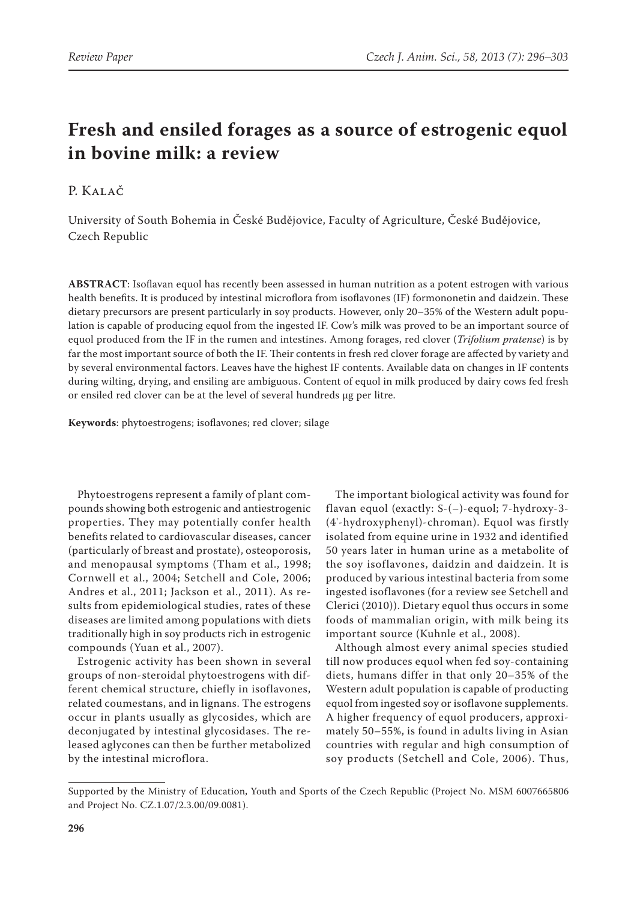# **Fresh and ensiled forages as a source of estrogenic equol in bovine milk: a review**

## P. Kalač

University of South Bohemia in České Budějovice, Faculty of Agriculture, České Budějovice, Czech Republic

**ABSTRACT**: Isoflavan equol has recently been assessed in human nutrition as a potent estrogen with various health benefits. It is produced by intestinal microflora from isoflavones (IF) formononetin and daidzein. These dietary precursors are present particularly in soy products. However, only 20–35% of the Western adult population is capable of producing equol from the ingested IF. Cow's milk was proved to be an important source of equol produced from the IF in the rumen and intestines. Among forages, red clover (*Trifolium pratense*) is by far the most important source of both the IF. Their contents in fresh red clover forage are affected by variety and by several environmental factors. Leaves have the highest IF contents. Available data on changes in IF contents during wilting, drying, and ensiling are ambiguous. Content of equol in milk produced by dairy cows fed fresh or ensiled red clover can be at the level of several hundreds μg per litre.

**Keywords**: phytoestrogens; isoflavones; red clover; silage

Phytoestrogens represent a family of plant compounds showing both estrogenic and antiestrogenic properties. They may potentially confer health benefits related to cardiovascular diseases, cancer (particularly of breast and prostate), osteoporosis, and menopausal symptoms (Tham et al., 1998; Cornwell et al., 2004; Setchell and Cole, 2006; Andres et al., 2011; Jackson et al., 2011). As results from epidemiological studies, rates of these diseases are limited among populations with diets traditionally high in soy products rich in estrogenic compounds (Yuan et al., 2007).

Estrogenic activity has been shown in several groups of non-steroidal phytoestrogens with different chemical structure, chiefly in isoflavones, related coumestans, and in lignans. The estrogens occur in plants usually as glycosides, which are deconjugated by intestinal glycosidases. The released aglycones can then be further metabolized by the intestinal microflora.

The important biological activity was found for flavan equol (exactly: S-(–)-equol; 7-hydroxy-3- (4'-hydroxyphenyl)-chroman). Equol was firstly isolated from equine urine in 1932 and identified 50 years later in human urine as a metabolite of the soy isoflavones, daidzin and daidzein. It is produced by various intestinal bacteria from some ingested isoflavones (for a review see Setchell and Clerici (2010)). Dietary equol thus occurs in some foods of mammalian origin, with milk being its important source (Kuhnle et al., 2008).

Although almost every animal species studied till now produces equol when fed soy-containing diets, humans differ in that only 20–35% of the Western adult population is capable of producting equol from ingested soy or isoflavone supplements. A higher frequency of equol producers, approximately 50–55%, is found in adults living in Asian countries with regular and high consumption of soy products (Setchell and Cole, 2006). Thus,

Supported by the Ministry of Education, Youth and Sports of the Czech Republic (Project No. MSM 6007665806 and Project No. CZ.1.07/2.3.00/09.0081).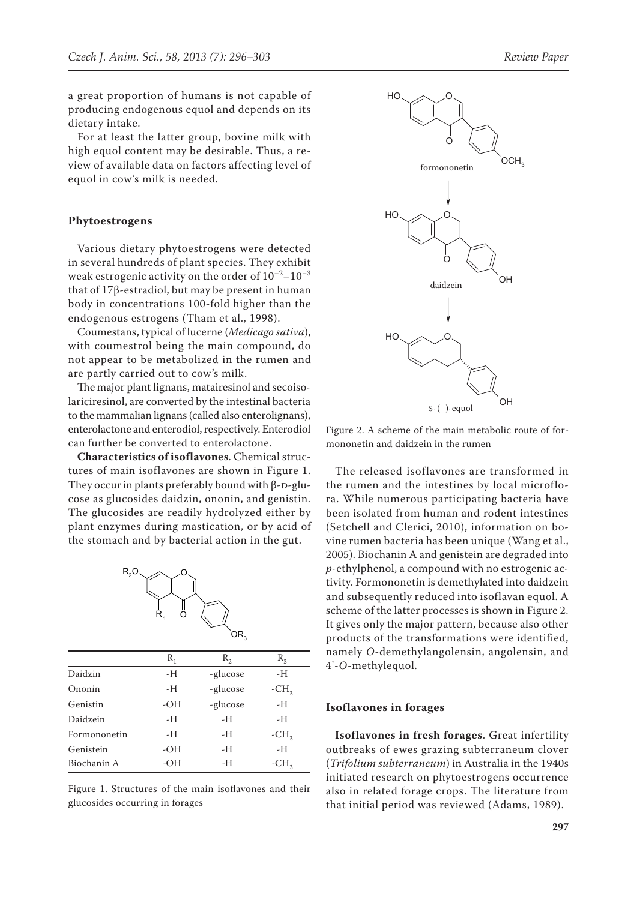a great proportion of humans is not capable of producing endogenous equol and depends on its dietary intake.

For at least the latter group, bovine milk with high equol content may be desirable. Thus, a review of available data on factors affecting level of equol in cow's milk is needed.

#### **Phytoestrogens**

Various dietary phytoestrogens were detected in several hundreds of plant species. They exhibit weak estrogenic activity on the order of  $10^{-2}$ – $10^{-3}$ that of 17β-estradiol, but may be present in human body in concentrations 100-fold higher than the endogenous estrogens (Tham et al., 1998).

Coumestans, typical of lucerne (*Medicago sativa*), with coumestrol being the main compound, do not appear to be metabolized in the rumen and are partly carried out to cow's milk.

The major plant lignans, matairesinol and secoisolariciresinol, are converted by the intestinal bacteria to the mammalian lignans (called also enterolignans), enterolactone and enterodiol, respectively. Enterodiol can further be converted to enterolactone.

**Characteristics of isoflavones**. Chemical structures of main isoflavones are shown in Figure 1. They occur in plants preferably bound with  $\beta$ -D-glucose as glucosides daidzin, ononin, and genistin. The glucosides are readily hydrolyzed either by plant enzymes during mastication, or by acid of the stomach and by bacterial action in the gut.



| Daidzin      | -H    | -glucose | -Н     |
|--------------|-------|----------|--------|
| Ononin       | -H    | -glucose | $-CH3$ |
| Genistin     | $-OH$ | -glucose | -H     |
| Daidzein     | -H    | -H       | -H     |
| Formononetin | -H    | -H       | $-CH3$ |
| Genistein    | $-OH$ | -Н       | -H     |
| Biochanin A  | $-OH$ | -H       | $-CH2$ |

Figure 1. Structures of the main isoflavones and their glucosides occurring in forages



Figure 2. A scheme of the main metabolic route of formononetin and daidzein in the rumen

The released isoflavones are transformed in the rumen and the intestines by local microflora. While numerous participating bacteria have been isolated from human and rodent intestines (Setchell and Clerici, 2010), information on bovine rumen bacteria has been unique (Wang et al., 2005). Biochanin A and genistein are degraded into *p*-ethylphenol, a compound with no estrogenic activity. Formononetin is demethylated into daidzein and subsequently reduced into isoflavan equol. A scheme of the latter processes is shown in Figure 2. It gives only the major pattern, because also other products of the transformations were identified, namely *O*-demethylangolensin, angolensin, and 4'-*O*-methylequol.

#### **Isoflavones in forages**

**Isoflavones in fresh forages**. Great infertility outbreaks of ewes grazing subterraneum clover (*Trifolium subterraneum*) in Australia in the 1940s initiated research on phytoestrogens occurrence also in related forage crops. The literature from that initial period was reviewed (Adams, 1989).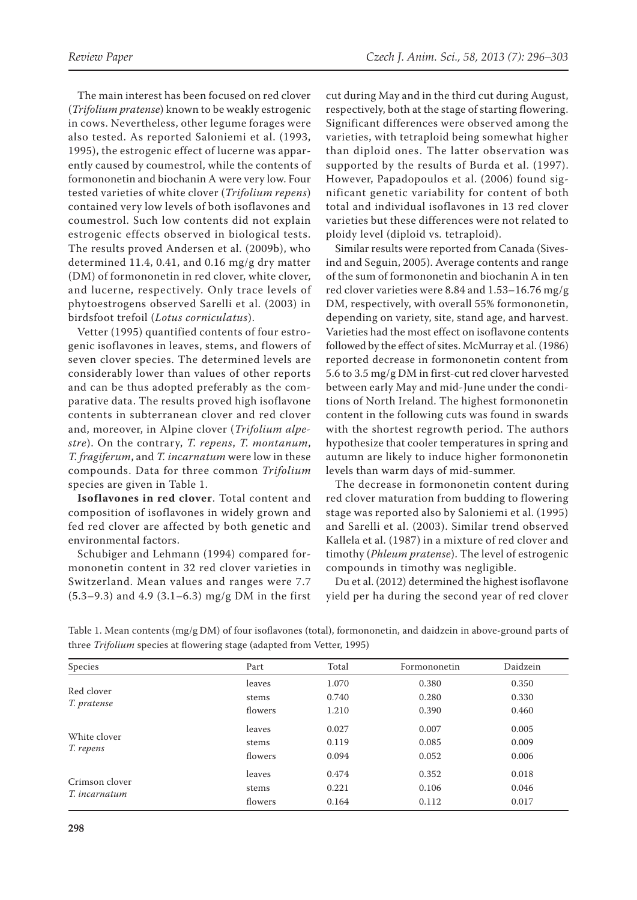The main interest has been focused on red clover (*Trifolium pratense*) known to be weakly estrogenic in cows. Nevertheless, other legume forages were also tested. As reported Saloniemi et al. (1993, 1995), the estrogenic effect of lucerne was apparently caused by coumestrol, while the contents of formononetin and biochanin A were very low. Four tested varieties of white clover (*Trifolium repens*) contained very low levels of both isoflavones and coumestrol. Such low contents did not explain estrogenic effects observed in biological tests. The results proved Andersen et al. (2009b), who determined 11.4, 0.41, and 0.16 mg/g dry matter (DM) of formononetin in red clover, white clover, and lucerne, respectively. Only trace levels of phytoestrogens observed Sarelli et al. (2003) in birdsfoot trefoil (*Lotus corniculatus*).

Vetter (1995) quantified contents of four estrogenic isoflavones in leaves, stems, and flowers of seven clover species. The determined levels are considerably lower than values of other reports and can be thus adopted preferably as the comparative data. The results proved high isoflavone contents in subterranean clover and red clover and, moreover, in Alpine clover (*Trifolium alpestre*). On the contrary, *T. repens*, *T. montanum*, *T. fragiferum*, and *T. incarnatum* were low in these compounds. Data for three common *Trifolium* species are given in Table 1.

**Isoflavones in red clover**. Total content and composition of isoflavones in widely grown and fed red clover are affected by both genetic and environmental factors.

Schubiger and Lehmann (1994) compared formononetin content in 32 red clover varieties in Switzerland. Mean values and ranges were 7.7 (5.3–9.3) and 4.9 (3.1–6.3) mg/g DM in the first

cut during May and in the third cut during August, respectively, both at the stage of starting flowering. Significant differences were observed among the varieties, with tetraploid being somewhat higher than diploid ones. The latter observation was supported by the results of Burda et al. (1997). However, Papadopoulos et al. (2006) found significant genetic variability for content of both total and individual isoflavones in 13 red clover varieties but these differences were not related to ploidy level (diploid vs*.* tetraploid).

Similar results were reported from Canada (Sivesind and Seguin, 2005). Average contents and range of the sum of formononetin and biochanin A in ten red clover varieties were 8.84 and 1.53–16.76 mg/g DM, respectively, with overall 55% formononetin, depending on variety, site, stand age, and harvest. Varieties had the most effect on isoflavone contents followed by the effect of sites. McMurray et al. (1986) reported decrease in formononetin content from 5.6 to 3.5 mg/g DM in first-cut red clover harvested between early May and mid-June under the conditions of North Ireland. The highest formononetin content in the following cuts was found in swards with the shortest regrowth period. The authors hypothesize that cooler temperatures in spring and autumn are likely to induce higher formononetin levels than warm days of mid-summer.

The decrease in formononetin content during red clover maturation from budding to flowering stage was reported also by Saloniemi et al. (1995) and Sarelli et al. (2003). Similar trend observed Kallela et al. (1987) in a mixture of red clover and timothy (*Phleum pratense*). The level of estrogenic compounds in timothy was negligible.

Du et al. (2012) determined the highest isoflavone yield per ha during the second year of red clover

Table 1. Mean contents (mg/g DM) of four isoflavones (total), formononetin, and daidzein in above-ground parts of three *Trifolium* species at flowering stage (adapted from Vetter, 1995)

| Species                         | Part    | Total | Formononetin | Daidzein |
|---------------------------------|---------|-------|--------------|----------|
|                                 | leaves  | 1.070 | 0.380        | 0.350    |
| Red clover                      | stems   | 0.740 | 0.280        | 0.330    |
| T. pratense                     | flowers | 1.210 | 0.390        | 0.460    |
|                                 | leaves  | 0.027 | 0.007        | 0.005    |
| White clover                    | stems   | 0.119 | 0.085        | 0.009    |
| T. repens                       | flowers | 0.094 | 0.052        | 0.006    |
|                                 | leaves  | 0.474 | 0.352        | 0.018    |
| Crimson clover<br>T. incarnatum | stems   | 0.221 | 0.106        | 0.046    |
|                                 | flowers | 0.164 | 0.112        | 0.017    |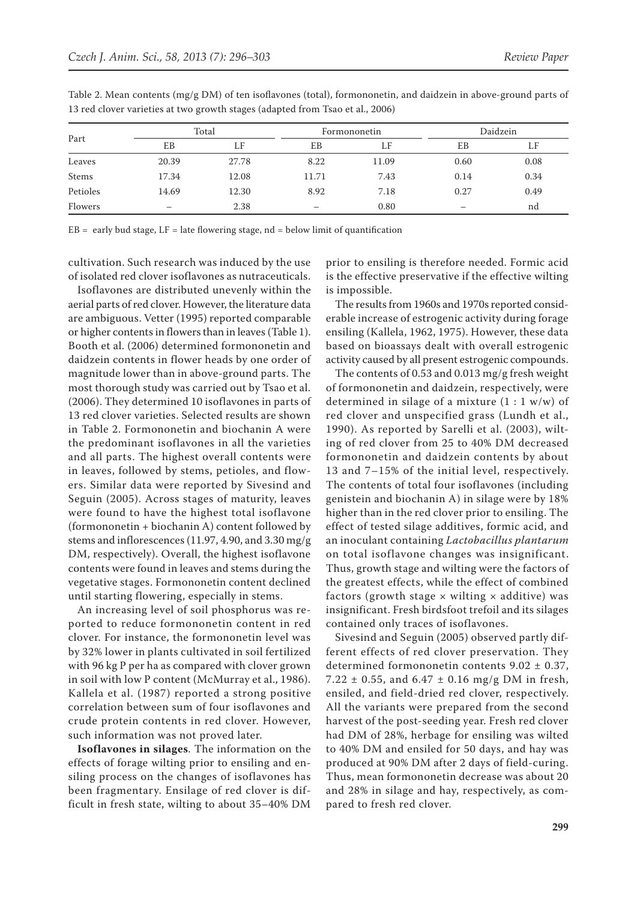| Part         | Total |       | Formononetin |       | Daidzein |      |
|--------------|-------|-------|--------------|-------|----------|------|
|              | ΕB    | LF    | EВ           | LF    | EB       | LF   |
| Leaves       | 20.39 | 27.78 | 8.22         | 11.09 | 0.60     | 0.08 |
| <b>Stems</b> | 17.34 | 12.08 | 11.71        | 7.43  | 0.14     | 0.34 |
| Petioles     | 14.69 | 12.30 | 8.92         | 7.18  | 0.27     | 0.49 |
| Flowers      |       | 2.38  |              | 0.80  |          | nd   |

Table 2. Mean contents (mg/g DM) of ten isoflavones (total), formononetin, and daidzein in above-ground parts of 13 red clover varieties at two growth stages (adapted from Tsao et al., 2006)

 $EB =$  early bud stage,  $LF =$  late flowering stage,  $nd =$  below limit of quantification

cultivation. Such research was induced by the use of isolated red clover isoflavones as nutraceuticals.

Isoflavones are distributed unevenly within the aerial parts of red clover. However, the literature data are ambiguous. Vetter (1995) reported comparable or higher contents in flowers than in leaves (Table 1). Booth et al. (2006) determined formononetin and daidzein contents in flower heads by one order of magnitude lower than in above-ground parts. The most thorough study was carried out by Tsao et al. (2006). They determined 10 isoflavones in parts of 13 red clover varieties. Selected results are shown in Table 2. Formononetin and biochanin A were the predominant isoflavones in all the varieties and all parts. The highest overall contents were in leaves, followed by stems, petioles, and flowers. Similar data were reported by Sivesind and Seguin (2005). Across stages of maturity, leaves were found to have the highest total isoflavone (formononetin + biochanin A) content followed by stems and inflorescences (11.97, 4.90, and 3.30 mg/g DM, respectively). Overall, the highest isoflavone contents were found in leaves and stems during the vegetative stages. Formononetin content declined until starting flowering, especially in stems.

An increasing level of soil phosphorus was reported to reduce formononetin content in red clover. For instance, the formononetin level was by 32% lower in plants cultivated in soil fertilized with 96 kg P per ha as compared with clover grown in soil with low P content (McMurray et al., 1986). Kallela et al. (1987) reported a strong positive correlation between sum of four isoflavones and crude protein contents in red clover. However, such information was not proved later.

**Isoflavones in silages**. The information on the effects of forage wilting prior to ensiling and ensiling process on the changes of isoflavones has been fragmentary. Ensilage of red clover is difficult in fresh state, wilting to about 35–40% DM

prior to ensiling is therefore needed. Formic acid is the effective preservative if the effective wilting is impossible.

The results from 1960s and 1970s reported considerable increase of estrogenic activity during forage ensiling (Kallela, 1962, 1975). However, these data based on bioassays dealt with overall estrogenic activity caused by all present estrogenic compounds.

The contents of 0.53 and 0.013 mg/g fresh weight of formononetin and daidzein, respectively, were determined in silage of a mixture  $(1:1 \text{ w/w})$  of red clover and unspecified grass (Lundh et al., 1990). As reported by Sarelli et al. (2003), wilting of red clover from 25 to 40% DM decreased formononetin and daidzein contents by about 13 and 7–15% of the initial level, respectively. The contents of total four isoflavones (including genistein and biochanin A) in silage were by 18% higher than in the red clover prior to ensiling. The effect of tested silage additives, formic acid, and an inoculant containing *Lactobacillus plantarum* on total isoflavone changes was insignificant. Thus, growth stage and wilting were the factors of the greatest effects, while the effect of combined factors (growth stage  $\times$  wilting  $\times$  additive) was insignificant. Fresh birdsfoot trefoil and its silages contained only traces of isoflavones.

Sivesind and Seguin (2005) observed partly different effects of red clover preservation. They determined formononetin contents 9.02 ± 0.37, 7.22  $\pm$  0.55, and 6.47  $\pm$  0.16 mg/g DM in fresh, ensiled, and field-dried red clover, respectively. All the variants were prepared from the second harvest of the post-seeding year. Fresh red clover had DM of 28%, herbage for ensiling was wilted to 40% DM and ensiled for 50 days, and hay was produced at 90% DM after 2 days of field-curing. Thus, mean formononetin decrease was about 20 and 28% in silage and hay, respectively, as compared to fresh red clover.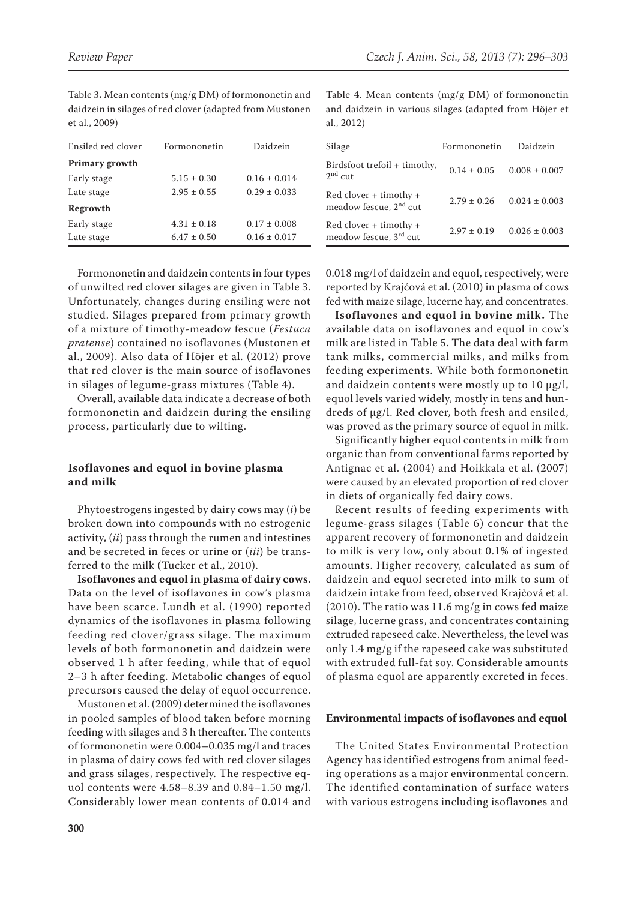| Ensiled red clover    | Formononetin    | Daidzein         | Silage                           |
|-----------------------|-----------------|------------------|----------------------------------|
| <b>Primary growth</b> |                 |                  | Birdsfoot trefoil + tin          |
| Early stage           | $5.15 \pm 0.30$ | $0.16 \pm 0.014$ | $2nd$ cut                        |
| Late stage            | $2.95 \pm 0.55$ | $0.29 \pm 0.033$ | Red clover + timothy             |
| Regrowth              |                 |                  | meadow fescue, 2 <sup>nd</sup> c |
| Early stage           | $4.31 \pm 0.18$ | $0.17 \pm 0.008$ | Red clover + timothy             |
| Late stage            | $6.47 \pm 0.50$ | $0.16 \pm 0.017$ | meadow fescue, 3 <sup>rd</sup> c |
|                       |                 |                  |                                  |

Table 3**.** Mean contents (mg/g DM) of formononetin and daidzein in silages of red clover (adapted from Mustonen et al., 2009)

Table 4. Mean contents (mg/g DM) of formononetin and daidzein in various silages (adapted from Höjer et al., 2012)

| Silage                                                       | Formononetin    | Daidzein          |
|--------------------------------------------------------------|-----------------|-------------------|
| Birdsfoot trefoil + timothy,<br>$2nd$ cut                    | $0.14 \pm 0.05$ | $0.008 \pm 0.007$ |
| Red clover + timothy +<br>meadow fescue, 2 <sup>nd</sup> cut | $2.79 + 0.26$   | $0.024 \pm 0.003$ |
| Red clover + timothy +<br>meadow fescue, 3rd cut             | $2.97 \pm 0.19$ | $0.026 \pm 0.003$ |

Formononetin and daidzein contents in four types of unwilted red clover silages are given in Table 3. Unfortunately, changes during ensiling were not studied. Silages prepared from primary growth of a mixture of timothy-meadow fescue (*Festuca pratense*) contained no isoflavones (Mustonen et al., 2009). Also data of Höjer et al. (2012) prove that red clover is the main source of isoflavones in silages of legume-grass mixtures (Table 4).

Overall, available data indicate a decrease of both formononetin and daidzein during the ensiling process, particularly due to wilting.

## **Isoflavones and equol in bovine plasma and milk**

Phytoestrogens ingested by dairy cows may (*i*) be broken down into compounds with no estrogenic activity, (*ii*) pass through the rumen and intestines and be secreted in feces or urine or (*iii*) be transferred to the milk (Tucker et al., 2010).

**Isoflavones and equol in plasma of dairy cows**. Data on the level of isoflavones in cow's plasma have been scarce. Lundh et al. (1990) reported dynamics of the isoflavones in plasma following feeding red clover/grass silage. The maximum levels of both formononetin and daidzein were observed 1 h after feeding, while that of equol 2–3 h after feeding. Metabolic changes of equol precursors caused the delay of equol occurrence.

Mustonen et al. (2009) determined the isoflavones in pooled samples of blood taken before morning feeding with silages and 3 h thereafter. The contents of formononetin were 0.004–0.035 mg/l and traces in plasma of dairy cows fed with red clover silages and grass silages, respectively. The respective equol contents were 4.58–8.39 and 0.84–1.50 mg/l. Considerably lower mean contents of 0.014 and 0.018 mg/l of daidzein and equol, respectively, were reported by Krajčová et al. (2010) in plasma of cows fed with maize silage, lucerne hay, and concentrates.

**Isoflavones and equol in bovine milk.** The available data on isoflavones and equol in cow's milk are listed in Table 5. The data deal with farm tank milks, commercial milks, and milks from feeding experiments. While both formononetin and daidzein contents were mostly up to 10 μg/l, equol levels varied widely, mostly in tens and hundreds of μg/l. Red clover, both fresh and ensiled, was proved as the primary source of equol in milk.

Significantly higher equol contents in milk from organic than from conventional farms reported by Antignac et al. (2004) and Hoikkala et al. (2007) were caused by an elevated proportion of red clover in diets of organically fed dairy cows.

Recent results of feeding experiments with legume-grass silages (Table 6) concur that the apparent recovery of formononetin and daidzein to milk is very low, only about 0.1% of ingested amounts. Higher recovery, calculated as sum of daidzein and equol secreted into milk to sum of daidzein intake from feed, observed Krajčová et al. (2010). The ratio was 11.6 mg/g in cows fed maize silage, lucerne grass, and concentrates containing extruded rapeseed cake. Nevertheless, the level was only 1.4 mg/g if the rapeseed cake was substituted with extruded full-fat soy. Considerable amounts of plasma equol are apparently excreted in feces.

#### **Environmental impacts of isoflavones and equol**

The United States Environmental Protection Agency has identified estrogens from animal feeding operations as a major environmental concern. The identified contamination of surface waters with various estrogens including isoflavones and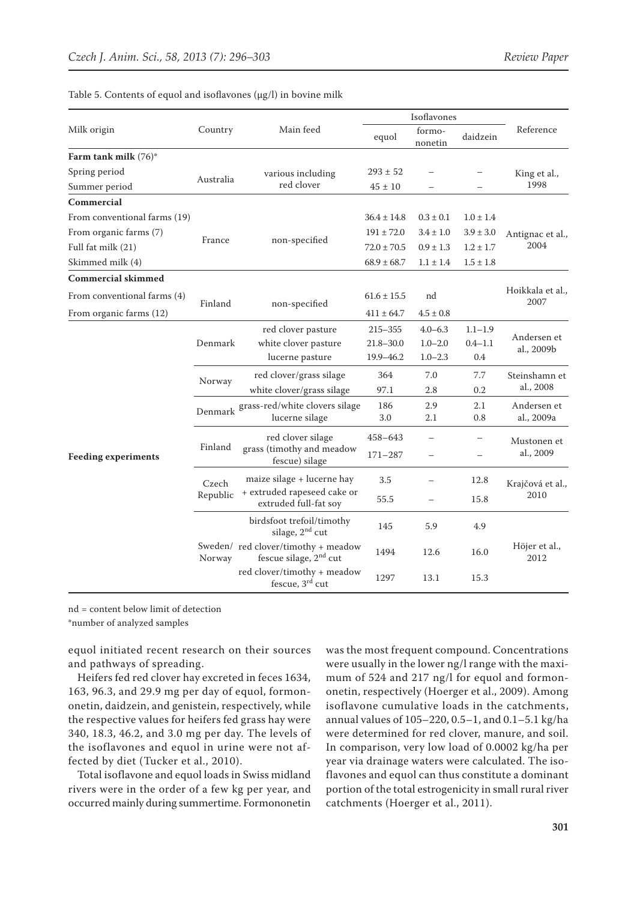|                              |           |                                                                                    | Isoflavones     |                   |                          |                           |  |
|------------------------------|-----------|------------------------------------------------------------------------------------|-----------------|-------------------|--------------------------|---------------------------|--|
| Milk origin                  | Country   | Main feed                                                                          | equol           | formo-<br>nonetin | daidzein                 | Reference                 |  |
| Farm tank milk $(76)^*$      |           |                                                                                    |                 |                   |                          |                           |  |
| Spring period                | Australia | various including                                                                  | $293 \pm 52$    |                   |                          | King et al.,              |  |
| Summer period                |           | red clover                                                                         | $45\pm10$       |                   |                          | 1998                      |  |
| Commercial                   |           |                                                                                    |                 |                   |                          |                           |  |
| From conventional farms (19) |           |                                                                                    | $36.4 \pm 14.8$ | $0.3 \pm 0.1$     | $1.0 \pm 1.4$            |                           |  |
| From organic farms (7)       | France    | non-specified                                                                      | $191 \pm 72.0$  | $3.4 \pm 1.0$     | $3.9 \pm 3.0$            | Antignac et al.,          |  |
| Full fat milk (21)           |           |                                                                                    | $72.0 \pm 70.5$ | $0.9 \pm 1.3$     | $1.2 \pm 1.7$            | 2004                      |  |
| Skimmed milk (4)             |           |                                                                                    | $68.9 \pm 68.7$ | $1.1 \pm 1.4$     | $1.5 \pm 1.8$            |                           |  |
| <b>Commercial skimmed</b>    |           |                                                                                    |                 |                   |                          |                           |  |
| From conventional farms (4)  |           |                                                                                    | $61.6 \pm 15.5$ | nd                |                          | Hoikkala et al.,<br>2007  |  |
| From organic farms (12)      | Finland   | non-specified                                                                      | $411 \pm 64.7$  | $4.5 \pm 0.8$     |                          |                           |  |
|                              | Denmark   | red clover pasture                                                                 | $215 - 355$     | $4.0 - 6.3$       | $1.1 - 1.9$              |                           |  |
|                              |           | white clover pasture                                                               | $21.8 - 30.0$   | $1.0 - 2.0$       | $0.4 - 1.1$              | Andersen et<br>al., 2009b |  |
|                              |           | lucerne pasture                                                                    | 19.9-46.2       | $1.0 - 2.3$       | 0.4                      |                           |  |
|                              | Norway    | red clover/grass silage                                                            | 364             | 7.0               | 7.7                      | Steinshamn et             |  |
|                              |           | white clover/grass silage                                                          | 97.1            | 2.8               | 0.2                      | al., 2008                 |  |
|                              | Denmark   | grass-red/white clovers silage                                                     | 186             | 2.9               | 2.1                      | Andersen et               |  |
|                              |           | lucerne silage                                                                     | 3.0             | 2.1               | 0.8                      | al., 2009a                |  |
|                              | Finland   | red clover silage                                                                  | $458 - 643$     |                   | $\overline{\phantom{0}}$ | Mustonen et               |  |
| <b>Feeding experiments</b>   |           | grass (timothy and meadow<br>fescue) silage                                        | $171 - 287$     |                   | $\overline{\phantom{0}}$ | al., 2009                 |  |
|                              | Czech     | maize silage + lucerne hay<br>+ extruded rapeseed cake or<br>extruded full-fat soy | 3.5             |                   | 12.8                     | Krajčová et al.,          |  |
|                              | Republic  |                                                                                    | 55.5            |                   | 15.8                     | 2010                      |  |
|                              |           | birdsfoot trefoil/timothy<br>silage, 2 <sup>nd</sup> cut                           | 145             | 5.9               | 4.9                      |                           |  |
|                              | Norway    | Sweden/red clover/timothy + meadow<br>fescue silage, 2 <sup>nd</sup> cut           | 1494            | 12.6              | 16.0                     | Höjer et al.,<br>2012     |  |
|                              |           | red clover/timothy + meadow<br>fescue, 3rd cut                                     | 1297            | 13.1              | 15.3                     |                           |  |

#### Table 5. Contents of equol and isoflavones (μg/l) in bovine milk

nd = content below limit of detection

\*number of analyzed samples

equol initiated recent research on their sources and pathways of spreading.

Heifers fed red clover hay excreted in feces 1634, 163, 96.3, and 29.9 mg per day of equol, formononetin, daidzein, and genistein, respectively, while the respective values for heifers fed grass hay were 340, 18.3, 46.2, and 3.0 mg per day. The levels of the isoflavones and equol in urine were not affected by diet (Tucker et al., 2010).

Total isoflavone and equol loads in Swiss midland rivers were in the order of a few kg per year, and occurred mainly during summertime. Formononetin was the most frequent compound. Concentrations were usually in the lower ng/l range with the maximum of 524 and 217 ng/l for equol and formononetin, respectively (Hoerger et al., 2009). Among isoflavone cumulative loads in the catchments, annual values of 105–220, 0.5–1, and 0.1–5.1 kg/ha were determined for red clover, manure, and soil. In comparison, very low load of 0.0002 kg/ha per year via drainage waters were calculated. The isoflavones and equol can thus constitute a dominant portion of the total estrogenicity in small rural river catchments (Hoerger et al., 2011).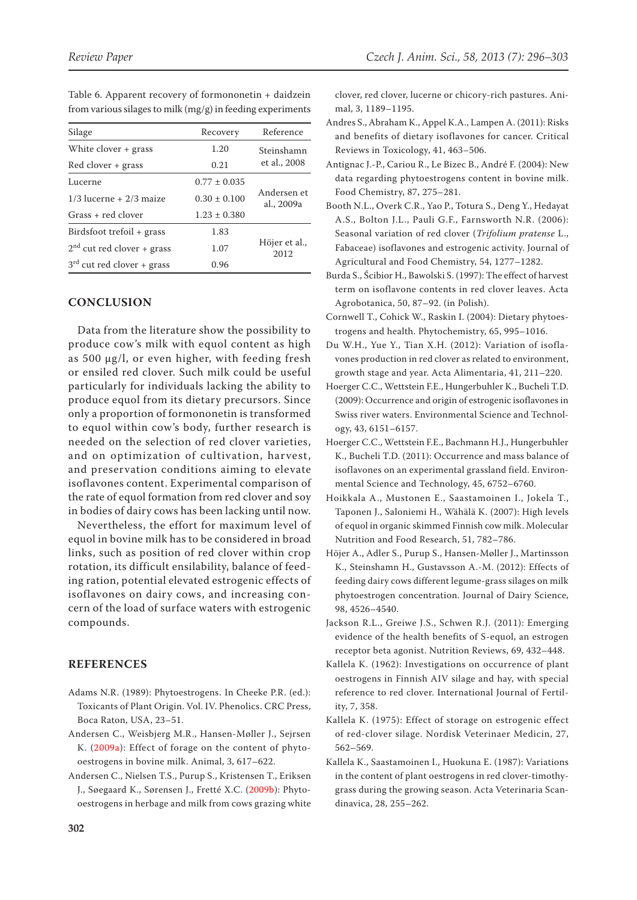| Silage                       | Recovery         | Reference                 |  |
|------------------------------|------------------|---------------------------|--|
| White clover $+$ grass       | 1.20             | Steinshamn                |  |
| $Red$ clover $+$ grass       | 0.21             | et al., 2008              |  |
| Lucerne                      | $0.77 \pm 0.035$ |                           |  |
| $1/3$ lucerne + $2/3$ maize  | $0.30 \pm 0.100$ | Andersen et<br>al., 2009a |  |
| $Grass + red$ clover         | $1.23 \pm 0.380$ |                           |  |
| Birdsfoot trefoil + grass    | 1.83             |                           |  |
| $2nd$ cut red clover + grass | 1.07             | Höjer et al.,<br>2012     |  |
| $3rd$ cut red clover + grass | 0.96             |                           |  |

Table 6. Apparent recovery of formononetin + daidzein from various silages to milk (mg/g) in feeding experiments

## **CONCLUSION**

Data from the literature show the possibility to produce cow's milk with equol content as high as 500 μg/l, or even higher, with feeding fresh or ensiled red clover. Such milk could be useful particularly for individuals lacking the ability to produce equol from its dietary precursors. Since only a proportion of formononetin is transformed to equol within cow's body, further research is needed on the selection of red clover varieties, and on optimization of cultivation, harvest, and preservation conditions aiming to elevate isoflavones content. Experimental comparison of the rate of equol formation from red clover and soy in bodies of dairy cows has been lacking until now.

Nevertheless, the effort for maximum level of equol in bovine milk has to be considered in broad links, such as position of red clover within crop rotation, its difficult ensilability, balance of feeding ration, potential elevated estrogenic effects of isoflavones on dairy cows, and increasing concern of the load of surface waters with estrogenic compounds.

## **REFERENCES**

- Adams N.R. (1989): Phytoestrogens. In Cheeke P.R. (ed.): Toxicants of Plant Origin. Vol. IV. Phenolics. CRC Press, Boca Raton, USA, 23–51.
- Andersen C., Weisbjerg M.R., Hansen-Møller J., Sejrsen K. (2009a): Effect of forage on the content of phytooestrogens in bovine milk. Animal, 3, 617–622.
- Andersen C., Nielsen T.S., Purup S., Kristensen T., Eriksen J., Søegaard K., Sørensen J., Fretté X.C. (2009b): Phytooestrogens in herbage and milk from cows grazing white

clover, red clover, lucerne or chicory-rich pastures. Animal, 3, 1189–1195.

- Andres S., Abraham K., Appel K.A., Lampen A. (2011): Risks and benefits of dietary isoflavones for cancer. Critical Reviews in Toxicology, 41, 463–506.
- Antignac J.-P., Cariou R., Le Bizec B., André F. (2004): New data regarding phytoestrogens content in bovine milk. Food Chemistry, 87, 275–281.
- Booth N.L., Overk C.R., Yao P., Totura S., Deng Y., Hedayat A.S., Bolton J.L., Pauli G.F., Farnsworth N.R. (2006): Seasonal variation of red clover (*Trifolium pratense* L., Fabaceae) isoflavones and estrogenic activity. Journal of Agricultural and Food Chemistry, 54, 1277–1282.
- Burda S., Ścibior H., Bawolski S. (1997): The effect of harvest term on isoflavone contents in red clover leaves. Acta Agrobotanica, 50, 87–92. (in Polish).
- Cornwell T., Cohick W., Raskin I. (2004): Dietary phytoestrogens and health. Phytochemistry, 65, 995–1016.
- Du W.H., Yue Y., Tian X.H. (2012): Variation of isoflavones production in red clover as related to environment, growth stage and year. Acta Alimentaria, 41, 211–220.
- Hoerger C.C., Wettstein F.E., Hungerbuhler K., Bucheli T.D. (2009): Occurrence and origin of estrogenic isoflavones in Swiss river waters. Environmental Science and Technology, 43, 6151–6157.
- Hoerger C.C., Wettstein F.E., Bachmann H.J., Hungerbuhler K., Bucheli T.D. (2011): Occurrence and mass balance of isoflavones on an experimental grassland field. Environmental Science and Technology, 45, 6752–6760.
- Hoikkala A., Mustonen E., Saastamoinen I., Jokela T., Taponen J., Saloniemi H., Wähälä K. (2007): High levels of equol in organic skimmed Finnish cow milk. Molecular Nutrition and Food Research, 51, 782–786.
- Höjer A., Adler S., Purup S., Hansen-Møller J., Martinsson K., Steinshamn H., Gustavsson A.-M. (2012): Effects of feeding dairy cows different legume-grass silages on milk phytoestrogen concentration. Journal of Dairy Science, 98, 4526–4540.
- Jackson R.L., Greiwe J.S., Schwen R.J. (2011): Emerging evidence of the health benefits of S-equol, an estrogen receptor beta agonist. Nutrition Reviews, 69, 432–448.
- Kallela K. (1962): Investigations on occurrence of plant oestrogens in Finnish AIV silage and hay, with special reference to red clover. International Journal of Fertility, 7, 358.
- Kallela K. (1975): Effect of storage on estrogenic effect of red-clover silage. Nordisk Veterinaer Medicin, 27, 562–569.
- Kallela K., Saastamoinen I., Huokuna E. (1987): Variations in the content of plant oestrogens in red clover-timothygrass during the growing season. Acta Veterinaria Scandinavica, 28, 255–262.